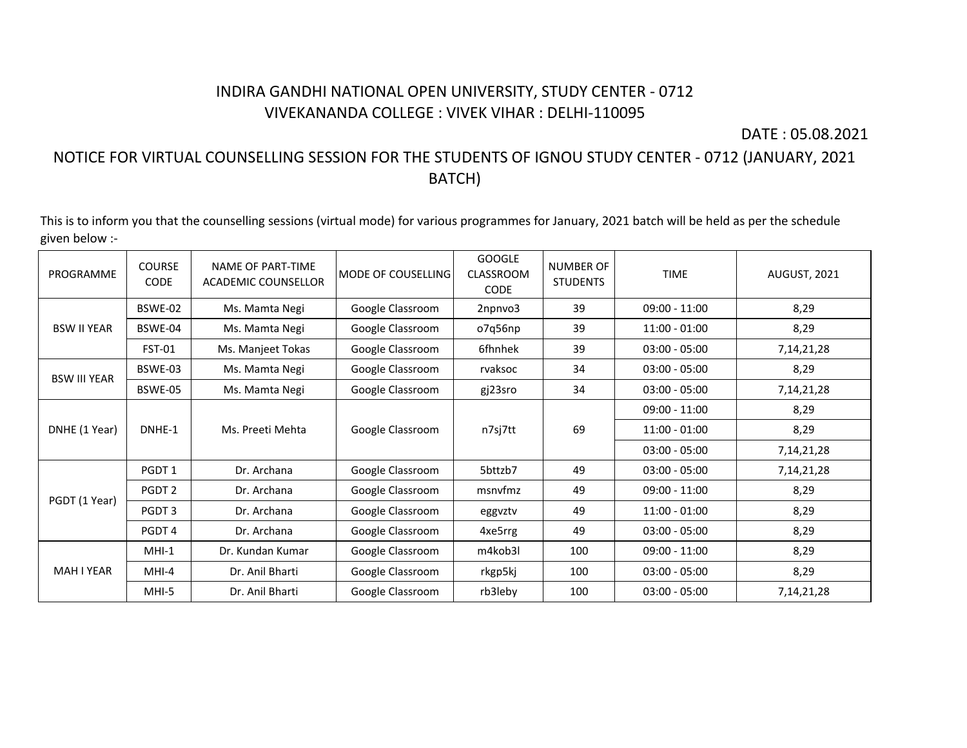## INDIRA GANDHI NATIONAL OPEN UNIVERSITY, STUDY CENTER - 0712 VIVEKANANDA COLLEGE : VIVEK VIHAR : DELHI-110095

DATE : 05.08.2021

## NOTICE FOR VIRTUAL COUNSELLING SESSION FOR THE STUDENTS OF IGNOU STUDY CENTER - 0712 (JANUARY, 2021 BATCH)

This is to inform you that the counselling sessions (virtual mode) for various programmes for January, 2021 batch will be held as per the schedule given below :-

| PROGRAMME           | <b>COURSE</b><br><b>CODE</b> | NAME OF PART-TIME<br>ACADEMIC COUNSELLOR | MODE OF COUSELLING | <b>GOOGLE</b><br>CLASSROOM<br><b>CODE</b> | <b>NUMBER OF</b><br><b>STUDENTS</b> | <b>TIME</b>     | <b>AUGUST, 2021</b> |
|---------------------|------------------------------|------------------------------------------|--------------------|-------------------------------------------|-------------------------------------|-----------------|---------------------|
|                     | BSWE-02                      | Ms. Mamta Negi                           | Google Classroom   | 2npnvo3                                   | 39                                  | $09:00 - 11:00$ | 8,29                |
| <b>BSW II YEAR</b>  | BSWE-04                      | Ms. Mamta Negi                           | Google Classroom   | o7q56np                                   | 39                                  | $11:00 - 01:00$ | 8,29                |
|                     | <b>FST-01</b>                | Ms. Manjeet Tokas                        | Google Classroom   | 6fhnhek                                   | 39                                  | $03:00 - 05:00$ | 7, 14, 21, 28       |
| <b>BSW III YEAR</b> | BSWE-03                      | Ms. Mamta Negi                           | Google Classroom   | rvaksoc                                   | 34                                  | $03:00 - 05:00$ | 8,29                |
|                     | BSWE-05                      | Ms. Mamta Negi                           | Google Classroom   | gj23sro                                   | 34                                  | $03:00 - 05:00$ | 7, 14, 21, 28       |
| DNHE (1 Year)       | DNHE-1                       | Ms. Preeti Mehta                         | Google Classroom   | n7sj7tt                                   | 69                                  | $09:00 - 11:00$ | 8,29                |
|                     |                              |                                          |                    |                                           |                                     | $11:00 - 01:00$ | 8,29                |
|                     |                              |                                          |                    |                                           |                                     | $03:00 - 05:00$ | 7, 14, 21, 28       |
|                     | PGDT 1                       | Dr. Archana                              | Google Classroom   | 5bttzb7                                   | 49                                  | $03:00 - 05:00$ | 7, 14, 21, 28       |
|                     | PGDT <sub>2</sub>            | Dr. Archana                              | Google Classroom   | msnyfmz                                   | 49                                  | $09:00 - 11:00$ | 8,29                |
| PGDT (1 Year)       | PGDT 3                       | Dr. Archana                              | Google Classroom   | eggvztv                                   | 49                                  | $11:00 - 01:00$ | 8,29                |
|                     | PGDT <sub>4</sub>            | Dr. Archana                              | Google Classroom   | 4xe5rrg                                   | 49                                  | $03:00 - 05:00$ | 8,29                |
|                     | $MHI-1$                      | Dr. Kundan Kumar                         | Google Classroom   | m4kob3l                                   | 100                                 | $09:00 - 11:00$ | 8,29                |
| MAH I YEAR          | MHI-4                        | Dr. Anil Bharti                          | Google Classroom   | rkgp5kj                                   | 100                                 | $03:00 - 05:00$ | 8,29                |
|                     | MHI-5                        | Dr. Anil Bharti                          | Google Classroom   | rb3leby                                   | 100                                 | $03:00 - 05:00$ | 7,14,21,28          |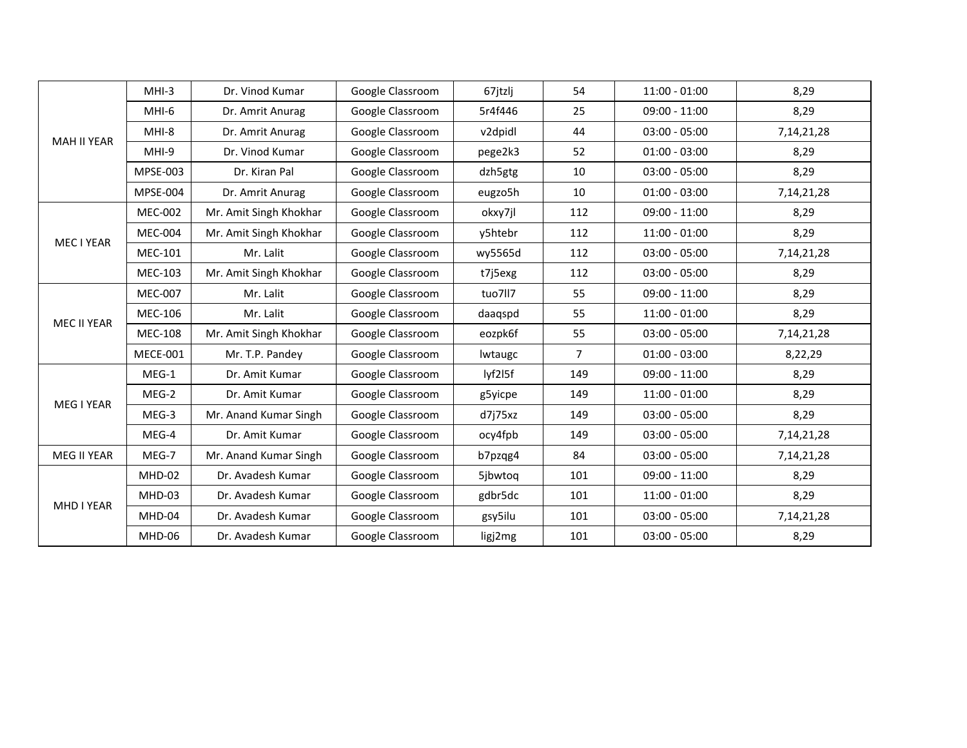|                    | $MHI-3$         | Dr. Vinod Kumar        | Google Classroom | 67jtzlj | 54             | $11:00 - 01:00$ | 8,29          |
|--------------------|-----------------|------------------------|------------------|---------|----------------|-----------------|---------------|
|                    | MHI-6           | Dr. Amrit Anurag       | Google Classroom | 5r4f446 | 25             | $09:00 - 11:00$ | 8,29          |
| <b>MAH II YEAR</b> | MHI-8           | Dr. Amrit Anurag       | Google Classroom | v2dpidl | 44             | $03:00 - 05:00$ | 7, 14, 21, 28 |
|                    | MHI-9           | Dr. Vinod Kumar        | Google Classroom | pege2k3 | 52             | $01:00 - 03:00$ | 8,29          |
|                    | MPSE-003        | Dr. Kiran Pal          | Google Classroom | dzh5gtg | 10             | $03:00 - 05:00$ | 8,29          |
|                    | <b>MPSE-004</b> | Dr. Amrit Anurag       | Google Classroom | eugzo5h | 10             | $01:00 - 03:00$ | 7, 14, 21, 28 |
|                    | <b>MEC-002</b>  | Mr. Amit Singh Khokhar | Google Classroom | okxy7jl | 112            | $09:00 - 11:00$ | 8,29          |
| MEC I YEAR         | <b>MEC-004</b>  | Mr. Amit Singh Khokhar | Google Classroom | y5htebr | 112            | $11:00 - 01:00$ | 8,29          |
|                    | <b>MEC-101</b>  | Mr. Lalit              | Google Classroom | wy5565d | 112            | $03:00 - 05:00$ | 7, 14, 21, 28 |
|                    | <b>MEC-103</b>  | Mr. Amit Singh Khokhar | Google Classroom | t7j5exg | 112            | $03:00 - 05:00$ | 8,29          |
| <b>MEC II YEAR</b> | <b>MEC-007</b>  | Mr. Lalit              | Google Classroom | tuo7ll7 | 55             | $09:00 - 11:00$ | 8,29          |
|                    | <b>MEC-106</b>  | Mr. Lalit              | Google Classroom | daaqspd | 55             | $11:00 - 01:00$ | 8,29          |
|                    | <b>MEC-108</b>  | Mr. Amit Singh Khokhar | Google Classroom | eozpk6f | 55             | $03:00 - 05:00$ | 7, 14, 21, 28 |
|                    | <b>MECE-001</b> | Mr. T.P. Pandey        | Google Classroom | lwtaugc | $\overline{7}$ | $01:00 - 03:00$ | 8,22,29       |
|                    | $MEG-1$         | Dr. Amit Kumar         | Google Classroom | lyf2l5f | 149            | $09:00 - 11:00$ | 8,29          |
| <b>MEG I YEAR</b>  | MEG-2           | Dr. Amit Kumar         | Google Classroom | g5yicpe | 149            | $11:00 - 01:00$ | 8,29          |
|                    | MEG-3           | Mr. Anand Kumar Singh  | Google Classroom | d7j75xz | 149            | $03:00 - 05:00$ | 8,29          |
|                    | MEG-4           | Dr. Amit Kumar         | Google Classroom | ocy4fpb | 149            | $03:00 - 05:00$ | 7, 14, 21, 28 |
| <b>MEG II YEAR</b> | MEG-7           | Mr. Anand Kumar Singh  | Google Classroom | b7pzqg4 | 84             | $03:00 - 05:00$ | 7, 14, 21, 28 |
|                    | MHD-02          | Dr. Avadesh Kumar      | Google Classroom | 5jbwtog | 101            | $09:00 - 11:00$ | 8,29          |
| <b>MHD I YEAR</b>  | MHD-03          | Dr. Avadesh Kumar      | Google Classroom | gdbr5dc | 101            | $11:00 - 01:00$ | 8,29          |
|                    | MHD-04          | Dr. Avadesh Kumar      | Google Classroom | gsy5ilu | 101            | $03:00 - 05:00$ | 7, 14, 21, 28 |
|                    | MHD-06          | Dr. Avadesh Kumar      | Google Classroom | ligj2mg | 101            | $03:00 - 05:00$ | 8,29          |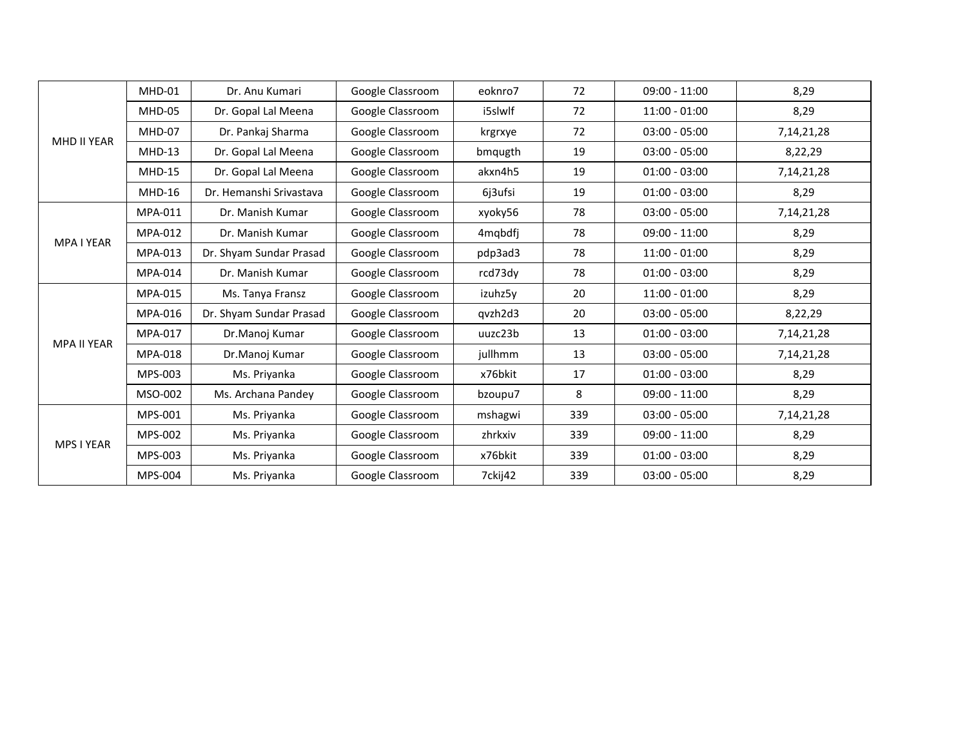|                    | MHD-01         | Dr. Anu Kumari          | Google Classroom | eoknro7 | 72  | $09:00 - 11:00$ | 8,29          |
|--------------------|----------------|-------------------------|------------------|---------|-----|-----------------|---------------|
|                    | MHD-05         | Dr. Gopal Lal Meena     | Google Classroom | i5slwlf | 72  | $11:00 - 01:00$ | 8,29          |
|                    | MHD-07         | Dr. Pankaj Sharma       | Google Classroom | krgrxye | 72  | $03:00 - 05:00$ | 7, 14, 21, 28 |
| MHD II YEAR        | $MHD-13$       | Dr. Gopal Lal Meena     | Google Classroom | bmqugth | 19  | $03:00 - 05:00$ | 8,22,29       |
|                    | <b>MHD-15</b>  | Dr. Gopal Lal Meena     | Google Classroom | akxn4h5 | 19  | $01:00 - 03:00$ | 7, 14, 21, 28 |
|                    | $MHD-16$       | Dr. Hemanshi Srivastava | Google Classroom | 6j3ufsi | 19  | $01:00 - 03:00$ | 8,29          |
|                    | MPA-011        | Dr. Manish Kumar        | Google Classroom | xyoky56 | 78  | $03:00 - 05:00$ | 7, 14, 21, 28 |
| MPA I YEAR         | MPA-012        | Dr. Manish Kumar        | Google Classroom | 4mqbdfj | 78  | $09:00 - 11:00$ | 8,29          |
|                    | MPA-013        | Dr. Shyam Sundar Prasad | Google Classroom | pdp3ad3 | 78  | $11:00 - 01:00$ | 8,29          |
|                    | <b>MPA-014</b> | Dr. Manish Kumar        | Google Classroom | rcd73dy | 78  | $01:00 - 03:00$ | 8,29          |
|                    | MPA-015        | Ms. Tanya Fransz        | Google Classroom | izuhz5v | 20  | $11:00 - 01:00$ | 8,29          |
|                    | MPA-016        | Dr. Shyam Sundar Prasad | Google Classroom | qvzh2d3 | 20  | $03:00 - 05:00$ | 8,22,29       |
| <b>MPA II YEAR</b> | MPA-017        | Dr.Manoj Kumar          | Google Classroom | uuzc23b | 13  | $01:00 - 03:00$ | 7,14,21,28    |
|                    | <b>MPA-018</b> | Dr.Manoj Kumar          | Google Classroom | jullhmm | 13  | $03:00 - 05:00$ | 7, 14, 21, 28 |
|                    | MPS-003        | Ms. Priyanka            | Google Classroom | x76bkit | 17  | $01:00 - 03:00$ | 8,29          |
|                    | MSO-002        | Ms. Archana Pandey      | Google Classroom | bzoupu7 | 8   | $09:00 - 11:00$ | 8,29          |
| <b>MPS I YEAR</b>  | MPS-001        | Ms. Priyanka            | Google Classroom | mshagwi | 339 | $03:00 - 05:00$ | 7,14,21,28    |
|                    | MPS-002        | Ms. Priyanka            | Google Classroom | zhrkxiv | 339 | $09:00 - 11:00$ | 8,29          |
|                    | MPS-003        | Ms. Priyanka            | Google Classroom | x76bkit | 339 | $01:00 - 03:00$ | 8,29          |
|                    | MPS-004        | Ms. Priyanka            | Google Classroom | 7ckij42 | 339 | $03:00 - 05:00$ | 8,29          |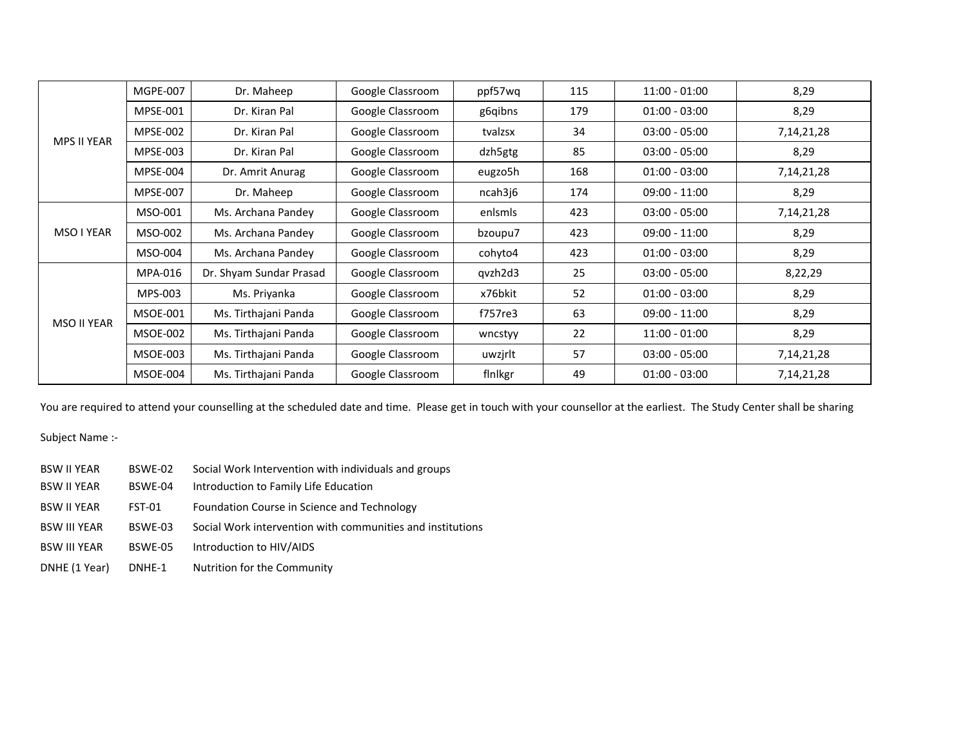| <b>MPS II YEAR</b> | <b>MGPE-007</b> | Dr. Maheep              | Google Classroom | ppf57wq | 115 | $11:00 - 01:00$ | 8,29          |
|--------------------|-----------------|-------------------------|------------------|---------|-----|-----------------|---------------|
|                    | <b>MPSE-001</b> | Dr. Kiran Pal           | Google Classroom | g6qibns | 179 | $01:00 - 03:00$ | 8,29          |
|                    | <b>MPSE-002</b> | Dr. Kiran Pal           | Google Classroom | tvalzsx | 34  | $03:00 - 05:00$ | 7, 14, 21, 28 |
|                    | <b>MPSE-003</b> | Dr. Kiran Pal           | Google Classroom | dzh5gtg | 85  | $03:00 - 05:00$ | 8,29          |
|                    | MPSE-004        | Dr. Amrit Anurag        | Google Classroom | eugzo5h | 168 | $01:00 - 03:00$ | 7, 14, 21, 28 |
|                    | <b>MPSE-007</b> | Dr. Maheep              | Google Classroom | ncah3j6 | 174 | $09:00 - 11:00$ | 8,29          |
| MSO I YEAR         | MSO-001         | Ms. Archana Pandey      | Google Classroom | enlsmls | 423 | $03:00 - 05:00$ | 7, 14, 21, 28 |
|                    | MSO-002         | Ms. Archana Pandey      | Google Classroom | bzoupu7 | 423 | $09:00 - 11:00$ | 8,29          |
|                    | MSO-004         | Ms. Archana Pandey      | Google Classroom | cohyto4 | 423 | $01:00 - 03:00$ | 8,29          |
| MSO II YEAR        | MPA-016         | Dr. Shyam Sundar Prasad | Google Classroom | qvzh2d3 | 25  | $03:00 - 05:00$ | 8,22,29       |
|                    | MPS-003         | Ms. Priyanka            | Google Classroom | x76bkit | 52  | $01:00 - 03:00$ | 8,29          |
|                    | <b>MSOE-001</b> | Ms. Tirthajani Panda    | Google Classroom | f757re3 | 63  | $09:00 - 11:00$ | 8,29          |
|                    | <b>MSOE-002</b> | Ms. Tirthajani Panda    | Google Classroom | wncstyy | 22  | $11:00 - 01:00$ | 8,29          |
|                    | <b>MSOE-003</b> | Ms. Tirthajani Panda    | Google Classroom | uwzjrlt | 57  | $03:00 - 05:00$ | 7, 14, 21, 28 |
|                    | MSOE-004        | Ms. Tirthajani Panda    | Google Classroom | finlkgr | 49  | $01:00 - 03:00$ | 7, 14, 21, 28 |

You are required to attend your counselling at the scheduled date and time. Please get in touch with your counsellor at the earliest. The Study Center shall be sharing

Subject Name :-

| BSW II YEAR | BSWE-02 | Social Work Intervention with individuals and groups |
|-------------|---------|------------------------------------------------------|
|-------------|---------|------------------------------------------------------|

- BSW II YEAR BSWE-04 Introduction to Family Life Education
- BSW II YEAR FST-01 Foundation Course in Science and Technology
- BSW III YEAR BSWE-03 Social Work intervention with communities and institutions
- BSW III YEAR BSWE-05 Introduction to HIV/AIDS
- DNHE (1 Year) DNHE-1 Nutrition for the Community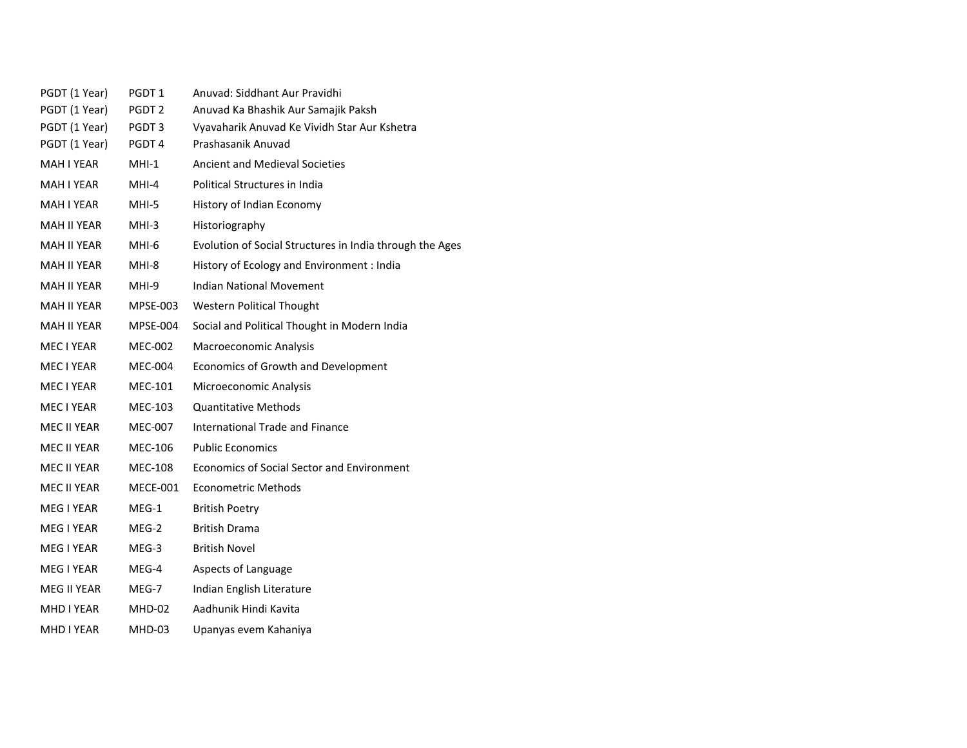| PGDT (1 Year)      | PGDT <sub>1</sub> | Anuvad: Siddhant Aur Pravidhi                            |
|--------------------|-------------------|----------------------------------------------------------|
| PGDT (1 Year)      | PGDT <sub>2</sub> | Anuvad Ka Bhashik Aur Samajik Paksh                      |
| PGDT (1 Year)      | PGDT 3            | Vyavaharik Anuvad Ke Vividh Star Aur Kshetra             |
| PGDT (1 Year)      | PGDT <sub>4</sub> | Prashasanik Anuvad                                       |
| <b>MAH I YEAR</b>  | $MHI-1$           | <b>Ancient and Medieval Societies</b>                    |
| MAH I YEAR         | $MHI-4$           | Political Structures in India                            |
| MAH I YEAR         | MHI-5             | History of Indian Economy                                |
| <b>MAH II YEAR</b> | $MHI-3$           | Historiography                                           |
| MAH II YEAR        | MHI-6             | Evolution of Social Structures in India through the Ages |
| MAH II YEAR        | MHI-8             | History of Ecology and Environment : India               |
| MAH II YEAR        | MHI-9             | <b>Indian National Movement</b>                          |
| MAH II YEAR        | MPSE-003          | <b>Western Political Thought</b>                         |
| MAH II YEAR        | <b>MPSE-004</b>   | Social and Political Thought in Modern India             |
| MEC I YEAR         | MEC-002           | Macroeconomic Analysis                                   |
| MEC I YEAR         | <b>MEC-004</b>    | Economics of Growth and Development                      |
| MEC I YEAR         | MEC-101           | Microeconomic Analysis                                   |
| MEC I YEAR         | MEC-103           | <b>Quantitative Methods</b>                              |
| MEC II YEAR        | MEC-007           | <b>International Trade and Finance</b>                   |
| MEC II YEAR        | MEC-106           | <b>Public Economics</b>                                  |
| MEC II YEAR        | MEC-108           | <b>Economics of Social Sector and Environment</b>        |
| MEC II YEAR        | MECE-001          | <b>Econometric Methods</b>                               |
| MEG I YEAR         | $MEG-1$           | <b>British Poetry</b>                                    |
| MEG I YEAR         | MEG-2             | <b>British Drama</b>                                     |
| MEG I YEAR         | MEG-3             | <b>British Novel</b>                                     |
| MEG I YEAR         | MEG-4             | Aspects of Language                                      |
| MEG II YEAR        | MEG-7             | Indian English Literature                                |
| MHD I YEAR         | MHD-02            | Aadhunik Hindi Kavita                                    |
| MHD I YEAR         | MHD-03            | Upanyas evem Kahaniya                                    |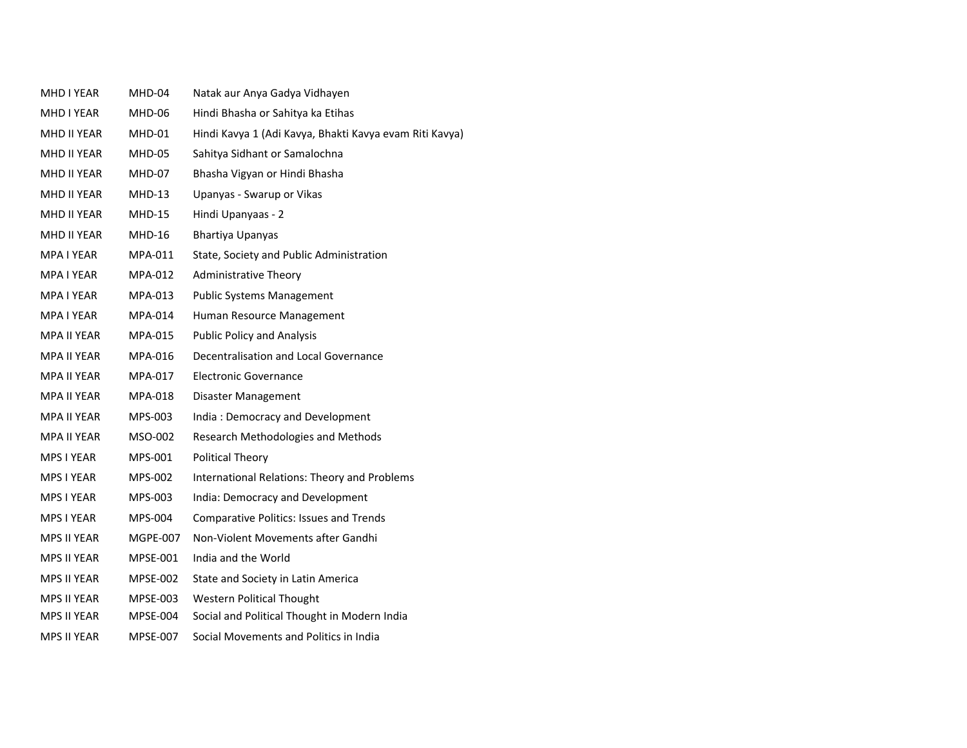| MHD I YEAR         | MHD-04          | Natak aur Anya Gadya Vidhayen                           |
|--------------------|-----------------|---------------------------------------------------------|
| MHD I YEAR         | MHD-06          | Hindi Bhasha or Sahitya ka Etihas                       |
| MHD II YEAR        | MHD-01          | Hindi Kavya 1 (Adi Kavya, Bhakti Kavya evam Riti Kavya) |
| MHD II YEAR        | <b>MHD-05</b>   | Sahitya Sidhant or Samalochna                           |
| MHD II YEAR        | MHD-07          | Bhasha Vigyan or Hindi Bhasha                           |
| MHD II YEAR        | MHD-13          | Upanyas - Swarup or Vikas                               |
| MHD II YEAR        | <b>MHD-15</b>   | Hindi Upanyaas - 2                                      |
| MHD II YEAR        | <b>MHD-16</b>   | Bhartiya Upanyas                                        |
| <b>MPA I YEAR</b>  | MPA-011         | State, Society and Public Administration                |
| MPA I YEAR         | MPA-012         | <b>Administrative Theory</b>                            |
| MPA I YEAR         | MPA-013         | <b>Public Systems Management</b>                        |
| MPA I YEAR         | MPA-014         | Human Resource Management                               |
| <b>MPA II YEAR</b> | MPA-015         | <b>Public Policy and Analysis</b>                       |
| <b>MPA II YEAR</b> | MPA-016         | Decentralisation and Local Governance                   |
| <b>MPA II YEAR</b> | MPA-017         | <b>Electronic Governance</b>                            |
| <b>MPA II YEAR</b> | MPA-018         | Disaster Management                                     |
| MPA II YEAR        | MPS-003         | India: Democracy and Development                        |
| <b>MPA II YEAR</b> | MSO-002         | Research Methodologies and Methods                      |
| MPS I YEAR         | MPS-001         | <b>Political Theory</b>                                 |
| MPS I YEAR         | MPS-002         | International Relations: Theory and Problems            |
| MPS I YEAR         | MPS-003         | India: Democracy and Development                        |
| MPS I YEAR         | MPS-004         | <b>Comparative Politics: Issues and Trends</b>          |
| <b>MPS II YEAR</b> | MGPE-007        | Non-Violent Movements after Gandhi                      |
| <b>MPS II YEAR</b> | MPSE-001        | India and the World                                     |
| <b>MPS II YEAR</b> | <b>MPSE-002</b> | State and Society in Latin America                      |
| <b>MPS II YEAR</b> | MPSE-003        | <b>Western Political Thought</b>                        |
| MPS II YEAR        | MPSE-004        | Social and Political Thought in Modern India            |
| <b>MPS II YEAR</b> | MPSE-007        | Social Movements and Politics in India                  |